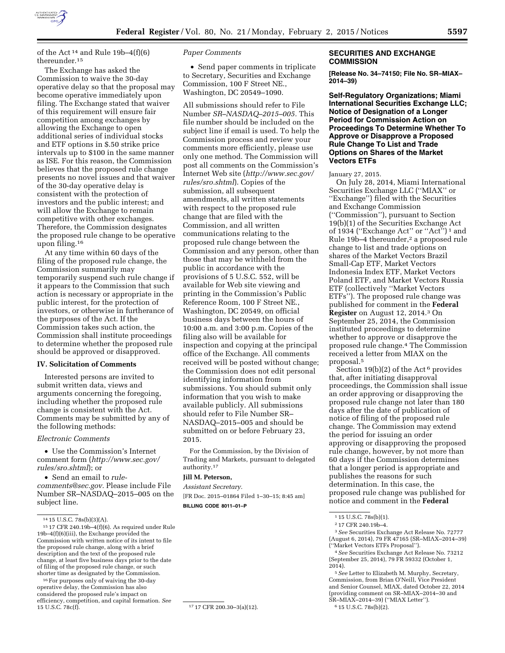

of the Act<sup>14</sup> and Rule 19b-4(f)(6) thereunder.15

The Exchange has asked the Commission to waive the 30-day operative delay so that the proposal may become operative immediately upon filing. The Exchange stated that waiver of this requirement will ensure fair competition among exchanges by allowing the Exchange to open additional series of individual stocks and ETF options in \$.50 strike price intervals up to \$100 in the same manner as ISE. For this reason, the Commission believes that the proposed rule change presents no novel issues and that waiver of the 30-day operative delay is consistent with the protection of investors and the public interest; and will allow the Exchange to remain competitive with other exchanges. Therefore, the Commission designates the proposed rule change to be operative upon filing.16

At any time within 60 days of the filing of the proposed rule change, the Commission summarily may temporarily suspend such rule change if it appears to the Commission that such action is necessary or appropriate in the public interest, for the protection of investors, or otherwise in furtherance of the purposes of the Act. If the Commission takes such action, the Commission shall institute proceedings to determine whether the proposed rule should be approved or disapproved.

## **IV. Solicitation of Comments**

Interested persons are invited to submit written data, views and arguments concerning the foregoing, including whether the proposed rule change is consistent with the Act. Comments may be submitted by any of the following methods:

#### *Electronic Comments*

• Use the Commission's Internet comment form (*[http://www.sec.gov/](http://www.sec.gov/rules/sro.shtml)  [rules/sro.shtml](http://www.sec.gov/rules/sro.shtml)*); or

• Send an email to *[rule](mailto:rule-comments@sec.gov)[comments@sec.gov.](mailto:rule-comments@sec.gov)* Please include File Number SR–NASDAQ–2015–005 on the subject line.

16For purposes only of waiving the 30-day operative delay, the Commission has also considered the proposed rule's impact on efficiency, competition, and capital formation. *See* 

## *Paper Comments*

• Send paper comments in triplicate to Secretary, Securities and Exchange Commission, 100 F Street NE., Washington, DC 20549–1090.

All submissions should refer to File Number *SR–NASDAQ–2015–005.* This file number should be included on the subject line if email is used. To help the Commission process and review your comments more efficiently, please use only one method. The Commission will post all comments on the Commission's Internet Web site (*[http://www.sec.gov/](http://www.sec.gov/rules/sro.shtml)  [rules/sro.shtml](http://www.sec.gov/rules/sro.shtml)*). Copies of the submission, all subsequent amendments, all written statements with respect to the proposed rule change that are filed with the Commission, and all written communications relating to the proposed rule change between the Commission and any person, other than those that may be withheld from the public in accordance with the provisions of 5 U.S.C. 552, will be available for Web site viewing and printing in the Commission's Public Reference Room, 100 F Street NE., Washington, DC 20549, on official business days between the hours of 10:00 a.m. and 3:00 p.m. Copies of the filing also will be available for inspection and copying at the principal office of the Exchange. All comments received will be posted without change; the Commission does not edit personal identifying information from submissions. You should submit only information that you wish to make available publicly. All submissions should refer to File Number SR– NASDAQ–2015–005 and should be submitted on or before February 23, 2015.

For the Commission, by the Division of Trading and Markets, pursuant to delegated authority.17

# **Jill M. Peterson,**

*Assistant Secretary.*  [FR Doc. 2015–01864 Filed 1–30–15; 8:45 am] **BILLING CODE 8011–01–P** 

17 17 CFR 200.30-3(a)(12).

## **SECURITIES AND EXCHANGE COMMISSION**

**[Release No. 34–74150; File No. SR–MIAX– 2014–39)** 

**Self-Regulatory Organizations; Miami International Securities Exchange LLC; Notice of Designation of a Longer Period for Commission Action on Proceedings To Determine Whether To Approve or Disapprove a Proposed Rule Change To List and Trade Options on Shares of the Market Vectors ETFs** 

## January 27, 2015.

On July 28, 2014, Miami International Securities Exchange LLC (''MIAX'' or ''Exchange'') filed with the Securities and Exchange Commission (''Commission''), pursuant to Section 19(b)(1) of the Securities Exchange Act of 1934 (''Exchange Act'' or ''Act'') 1 and Rule 19b-4 thereunder,<sup>2</sup> a proposed rule change to list and trade options on shares of the Market Vectors Brazil Small-Cap ETF, Market Vectors Indonesia Index ETF, Market Vectors Poland ETF, and Market Vectors Russia ETF (collectively ''Market Vectors ETFs''). The proposed rule change was published for comment in the **Federal Register** on August 12, 2014.3 On September 25, 2014, the Commission instituted proceedings to determine whether to approve or disapprove the proposed rule change.4 The Commission received a letter from MIAX on the proposal.5

Section 19(b)(2) of the Act<sup>6</sup> provides that, after initiating disapproval proceedings, the Commission shall issue an order approving or disapproving the proposed rule change not later than 180 days after the date of publication of notice of filing of the proposed rule change. The Commission may extend the period for issuing an order approving or disapproving the proposed rule change, however, by not more than 60 days if the Commission determines that a longer period is appropriate and publishes the reasons for such determination. In this case, the proposed rule change was published for notice and comment in the **Federal** 

3*See* Securities Exchange Act Release No. 72777 (August 6, 2014), 79 FR 47165 (SR–MIAX–2014–39) (''Market Vectors ETFs Proposal'').

5*See* Letter to Elizabeth M. Murphy, Secretary, Commission, from Brian O'Neill, Vice President and Senior Counsel, MIAX, dated October 22, 2014 (providing comment on SR–MIAX–2014–30 and SR–MIAX–2014–39) (''MIAX Letter''). 6 15 U.S.C. 78s(b)(2).

<sup>14</sup> 15 U.S.C. 78s(b)(3)(A).

 $1517$  CFR 240.19b-4 $(f)(6)$ . As required under Rule 19b–4(f)(6)(iii), the Exchange provided the Commission with written notice of its intent to file the proposed rule change, along with a brief description and the text of the proposed rule change, at least five business days prior to the date of filing of the proposed rule change, or such shorter time as designated by the Commission.

<sup>1</sup> 15 U.S.C. 78s(b)(1).

<sup>2</sup> 17 CFR 240.19b–4.

<sup>4</sup>*See* Securities Exchange Act Release No. 73212 (September 25, 2014), 79 FR 59332 (October 1, 2014).